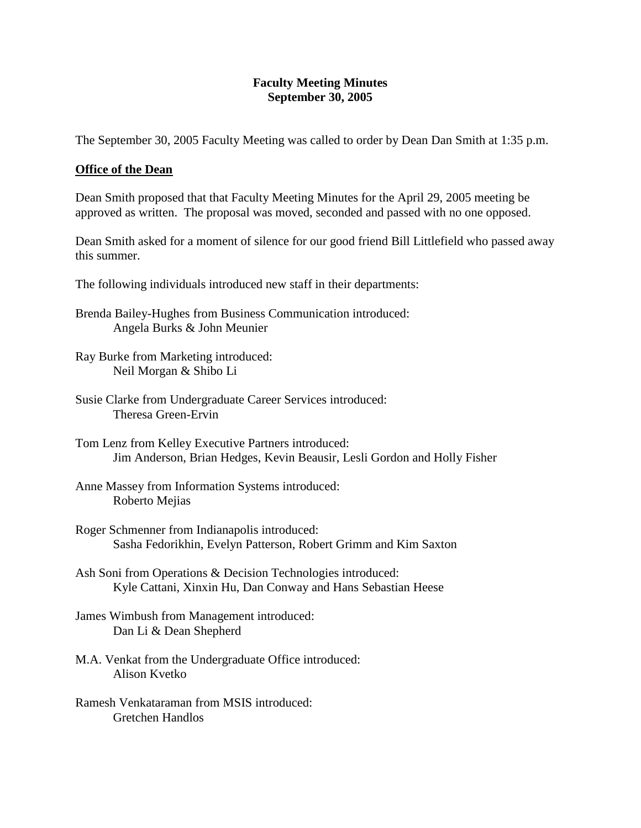## **Faculty Meeting Minutes September 30, 2005**

The September 30, 2005 Faculty Meeting was called to order by Dean Dan Smith at 1:35 p.m.

# **Office of the Dean**

Dean Smith proposed that that Faculty Meeting Minutes for the April 29, 2005 meeting be approved as written. The proposal was moved, seconded and passed with no one opposed.

Dean Smith asked for a moment of silence for our good friend Bill Littlefield who passed away this summer.

The following individuals introduced new staff in their departments:

- Brenda Bailey-Hughes from Business Communication introduced: Angela Burks & John Meunier
- Ray Burke from Marketing introduced: Neil Morgan & Shibo Li
- Susie Clarke from Undergraduate Career Services introduced: Theresa Green-Ervin
- Tom Lenz from Kelley Executive Partners introduced: Jim Anderson, Brian Hedges, Kevin Beausir, Lesli Gordon and Holly Fisher
- Anne Massey from Information Systems introduced: Roberto Mejias
- Roger Schmenner from Indianapolis introduced: Sasha Fedorikhin, Evelyn Patterson, Robert Grimm and Kim Saxton
- Ash Soni from Operations & Decision Technologies introduced: Kyle Cattani, Xinxin Hu, Dan Conway and Hans Sebastian Heese
- James Wimbush from Management introduced: Dan Li & Dean Shepherd
- M.A. Venkat from the Undergraduate Office introduced: Alison Kvetko
- Ramesh Venkataraman from MSIS introduced: Gretchen Handlos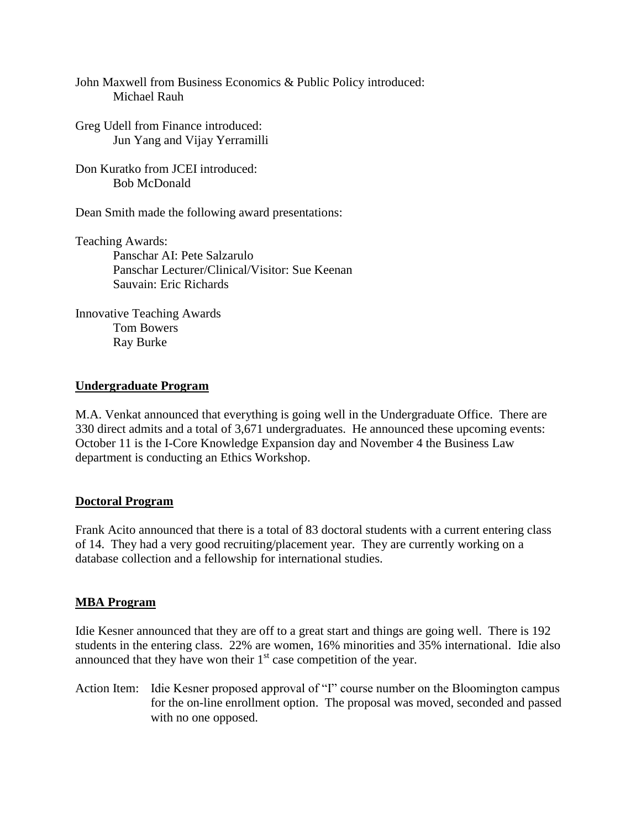John Maxwell from Business Economics & Public Policy introduced: Michael Rauh

- Greg Udell from Finance introduced: Jun Yang and Vijay Yerramilli
- Don Kuratko from JCEI introduced: Bob McDonald

Dean Smith made the following award presentations:

Teaching Awards: Panschar AI: Pete Salzarulo Panschar Lecturer/Clinical/Visitor: Sue Keenan Sauvain: Eric Richards

Innovative Teaching Awards Tom Bowers Ray Burke

# **Undergraduate Program**

M.A. Venkat announced that everything is going well in the Undergraduate Office. There are 330 direct admits and a total of 3,671 undergraduates. He announced these upcoming events: October 11 is the I-Core Knowledge Expansion day and November 4 the Business Law department is conducting an Ethics Workshop.

## **Doctoral Program**

Frank Acito announced that there is a total of 83 doctoral students with a current entering class of 14. They had a very good recruiting/placement year. They are currently working on a database collection and a fellowship for international studies.

## **MBA Program**

Idie Kesner announced that they are off to a great start and things are going well. There is 192 students in the entering class. 22% are women, 16% minorities and 35% international. Idie also announced that they have won their  $1<sup>st</sup>$  case competition of the year.

Action Item: Idie Kesner proposed approval of "I" course number on the Bloomington campus for the on-line enrollment option. The proposal was moved, seconded and passed with no one opposed.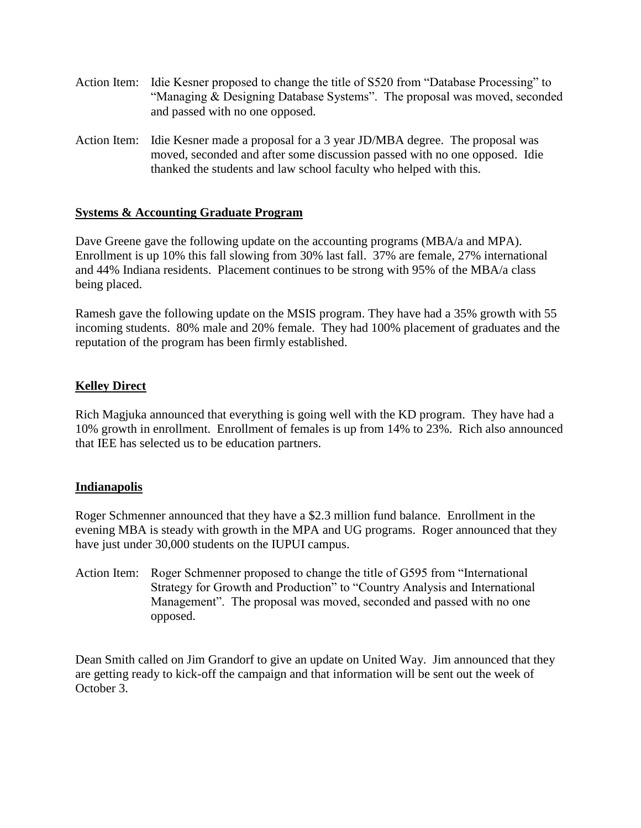- Action Item: Idie Kesner proposed to change the title of S520 from "Database Processing" to "Managing & Designing Database Systems". The proposal was moved, seconded and passed with no one opposed.
- Action Item: Idie Kesner made a proposal for a 3 year JD/MBA degree. The proposal was moved, seconded and after some discussion passed with no one opposed. Idie thanked the students and law school faculty who helped with this.

# **Systems & Accounting Graduate Program**

Dave Greene gave the following update on the accounting programs (MBA/a and MPA). Enrollment is up 10% this fall slowing from 30% last fall. 37% are female, 27% international and 44% Indiana residents. Placement continues to be strong with 95% of the MBA/a class being placed.

Ramesh gave the following update on the MSIS program. They have had a 35% growth with 55 incoming students. 80% male and 20% female. They had 100% placement of graduates and the reputation of the program has been firmly established.

# **Kelley Direct**

Rich Magjuka announced that everything is going well with the KD program. They have had a 10% growth in enrollment. Enrollment of females is up from 14% to 23%. Rich also announced that IEE has selected us to be education partners.

## **Indianapolis**

Roger Schmenner announced that they have a \$2.3 million fund balance. Enrollment in the evening MBA is steady with growth in the MPA and UG programs. Roger announced that they have just under 30,000 students on the IUPUI campus.

Action Item: Roger Schmenner proposed to change the title of G595 from "International Strategy for Growth and Production" to "Country Analysis and International Management". The proposal was moved, seconded and passed with no one opposed.

Dean Smith called on Jim Grandorf to give an update on United Way. Jim announced that they are getting ready to kick-off the campaign and that information will be sent out the week of October 3.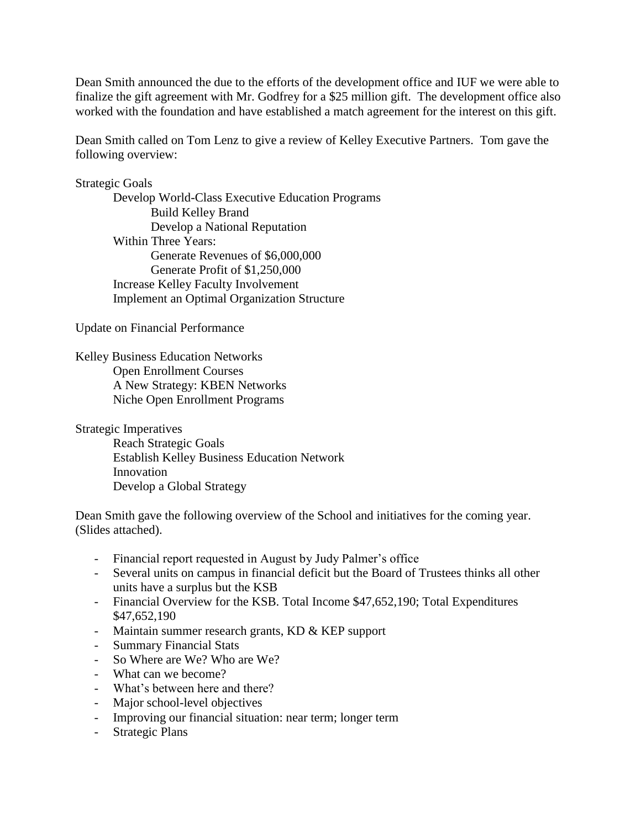Dean Smith announced the due to the efforts of the development office and IUF we were able to finalize the gift agreement with Mr. Godfrey for a \$25 million gift. The development office also worked with the foundation and have established a match agreement for the interest on this gift.

Dean Smith called on Tom Lenz to give a review of Kelley Executive Partners. Tom gave the following overview:

# Strategic Goals

Develop World-Class Executive Education Programs Build Kelley Brand Develop a National Reputation Within Three Years: Generate Revenues of \$6,000,000 Generate Profit of \$1,250,000 Increase Kelley Faculty Involvement Implement an Optimal Organization Structure

Update on Financial Performance

Kelley Business Education Networks Open Enrollment Courses A New Strategy: KBEN Networks Niche Open Enrollment Programs

Strategic Imperatives

Reach Strategic Goals Establish Kelley Business Education Network Innovation Develop a Global Strategy

Dean Smith gave the following overview of the School and initiatives for the coming year. (Slides attached).

- Financial report requested in August by Judy Palmer's office
- Several units on campus in financial deficit but the Board of Trustees thinks all other units have a surplus but the KSB
- Financial Overview for the KSB. Total Income \$47,652,190; Total Expenditures \$47,652,190
- Maintain summer research grants, KD & KEP support
- Summary Financial Stats
- So Where are We? Who are We?
- What can we become?
- What's between here and there?
- Major school-level objectives
- Improving our financial situation: near term; longer term
- Strategic Plans